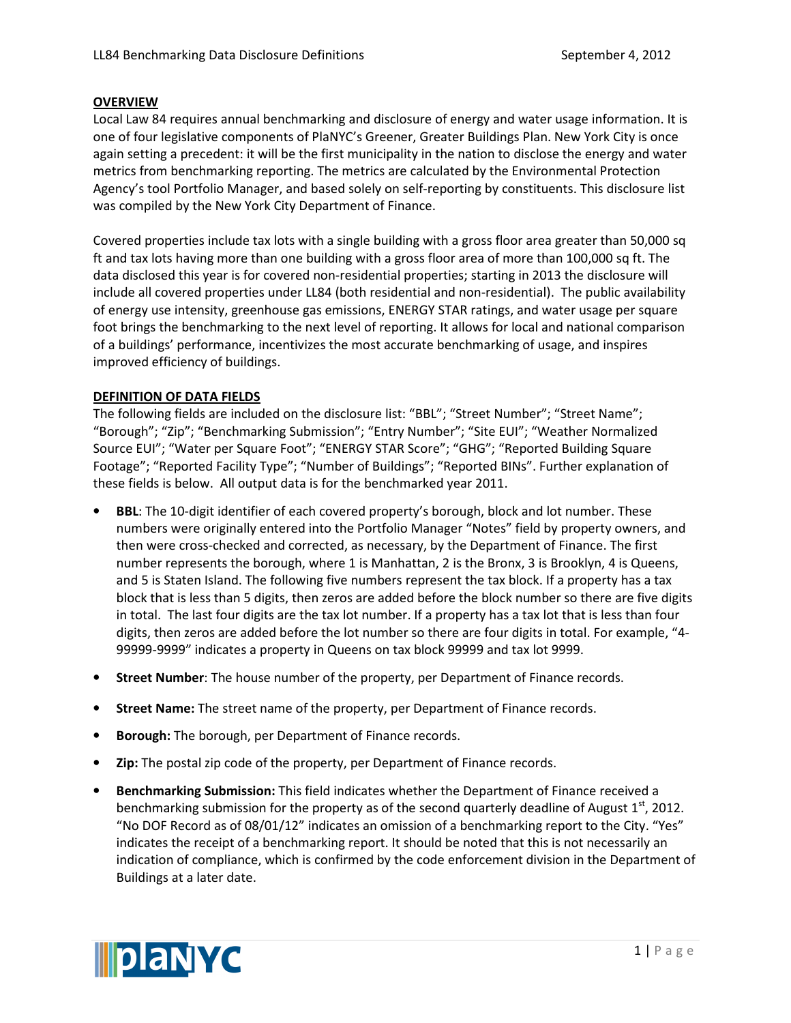## **OVERVIEW**

Local Law 84 requires annual benchmarking and disclosure of energy and water usage information. It is one of four legislative components of PlaNYC's Greener, Greater Buildings Plan. New York City is once again setting a precedent: it will be the first municipality in the nation to disclose the energy and water metrics from benchmarking reporting. The metrics are calculated by the Environmental Protection Agency's tool Portfolio Manager, and based solely on self-reporting by constituents. This disclosure list was compiled by the New York City Department of Finance.

Covered properties include tax lots with a single building with a gross floor area greater than 50,000 sq ft and tax lots having more than one building with a gross floor area of more than 100,000 sq ft. The data disclosed this year is for covered non-residential properties; starting in 2013 the disclosure will include all covered properties under LL84 (both residential and non-residential). The public availability of energy use intensity, greenhouse gas emissions, ENERGY STAR ratings, and water usage per square foot brings the benchmarking to the next level of reporting. It allows for local and national comparison of a buildings' performance, incentivizes the most accurate benchmarking of usage, and inspires improved efficiency of buildings.

## DEFINITION OF DATA FIELDS

The following fields are included on the disclosure list: "BBL"; "Street Number"; "Street Name"; "Borough"; "Zip"; "Benchmarking Submission"; "Entry Number"; "Site EUI"; "Weather Normalized Source EUI"; "Water per Square Foot"; "ENERGY STAR Score"; "GHG"; "Reported Building Square Footage"; "Reported Facility Type"; "Number of Buildings"; "Reported BINs". Further explanation of these fields is below. All output data is for the benchmarked year 2011.

- **BBL:** The 10-digit identifier of each covered property's borough, block and lot number. These numbers were originally entered into the Portfolio Manager "Notes" field by property owners, and then were cross-checked and corrected, as necessary, by the Department of Finance. The first number represents the borough, where 1 is Manhattan, 2 is the Bronx, 3 is Brooklyn, 4 is Queens, and 5 is Staten Island. The following five numbers represent the tax block. If a property has a tax block that is less than 5 digits, then zeros are added before the block number so there are five digits in total. The last four digits are the tax lot number. If a property has a tax lot that is less than four digits, then zeros are added before the lot number so there are four digits in total. For example, "4- 99999-9999" indicates a property in Queens on tax block 99999 and tax lot 9999.
- Street Number: The house number of the property, per Department of Finance records.
- Street Name: The street name of the property, per Department of Finance records.
- **Borough:** The borough, per Department of Finance records.
- Zip: The postal zip code of the property, per Department of Finance records.
- Benchmarking Submission: This field indicates whether the Department of Finance received a benchmarking submission for the property as of the second quarterly deadline of August  $1<sup>st</sup>$ , 2012. "No DOF Record as of 08/01/12" indicates an omission of a benchmarking report to the City. "Yes" indicates the receipt of a benchmarking report. It should be noted that this is not necessarily an indication of compliance, which is confirmed by the code enforcement division in the Department of Buildings at a later date.